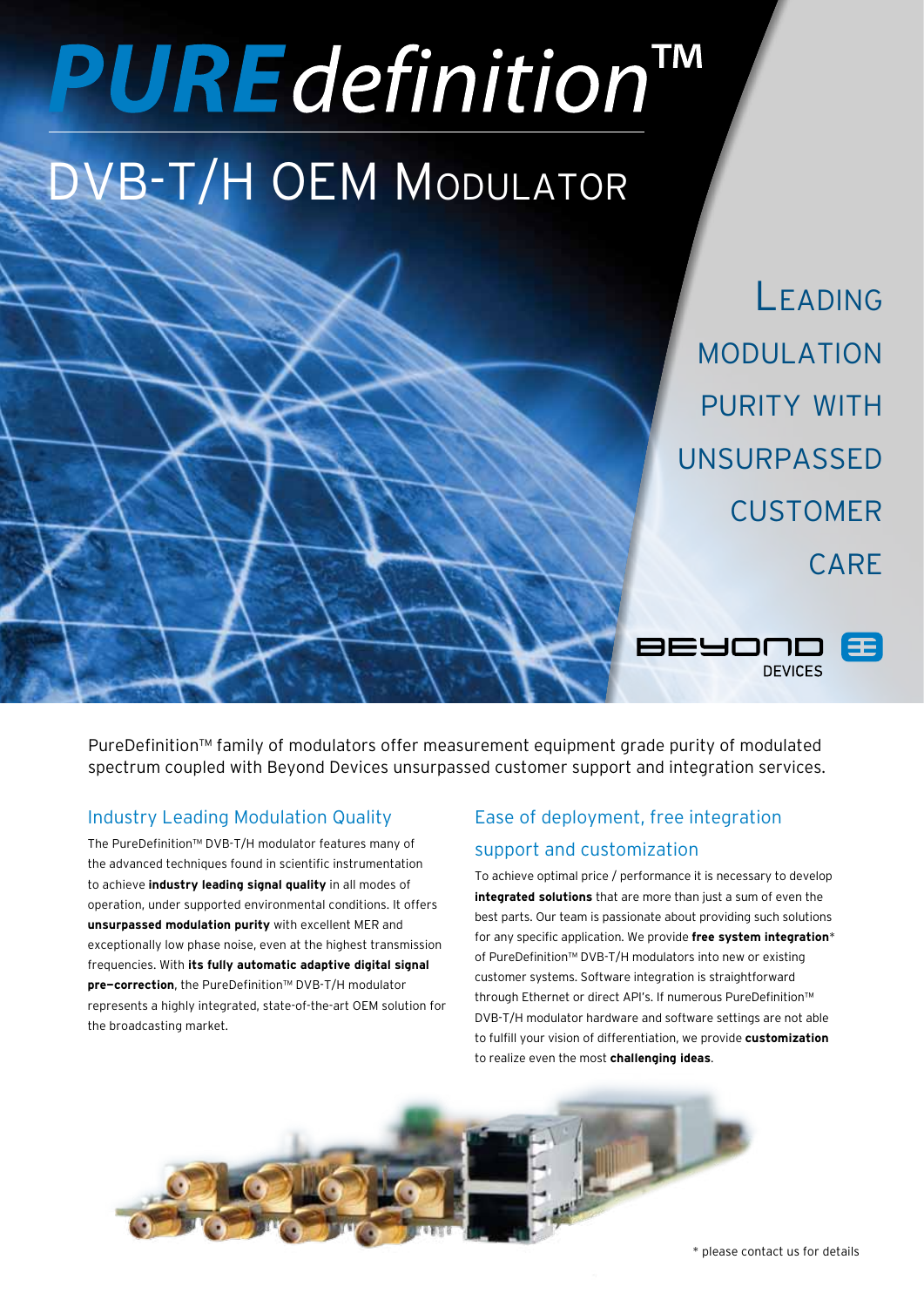# **PURE** definition

# DVB-T/H OEM Modulator

Leading modulation PURITY WITH unsurpassed **CUSTOMER CARF** 

**DEVICES** 

BEYOUL

PureDefinition™ family of modulators offer measurement equipment grade purity of modulated spectrum coupled with Beyond Devices unsurpassed customer support and integration services.

# Industry Leading Modulation Quality

The PureDefinition™ DVB-T/H modulator features many of the advanced techniques found in scientific instrumentation to achieve **industry leading signal quality** in all modes of operation, under supported environmental conditions. It offers **unsurpassed modulation purity** with excellent MER and exceptionally low phase noise, even at the highest transmission frequencies. With **its fully automatic adaptive digital signal pre-correction**, the PureDefinition™ DVB-T/H modulator represents a highly integrated, state-of-the-art OEM solution for the broadcasting market.

# Ease of deployment, free integration support and customization

To achieve optimal price / performance it is necessary to develop **integrated solutions** that are more than just a sum of even the best parts. Our team is passionate about providing such solutions for any specific application. We provide **free system integration**\* of PureDefinition™ DVB-T/H modulators into new or existing customer systems. Software integration is straightforward through Ethernet or direct API's. If numerous PureDefinition™ DVB-T/H modulator hardware and software settings are not able to fulfill your vision of differentiation, we provide **customization** to realize even the most **challenging ideas**.